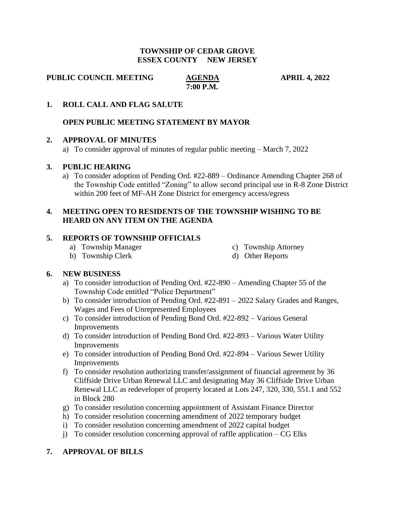#### **TOWNSHIP OF CEDAR GROVE ESSEX COUNTY NEW JERSEY**

**PUBLIC COUNCIL MEETING AGENDA APRIL 4, 2022** 

 **7:00 P.M.**

#### **1. ROLL CALL AND FLAG SALUTE**

#### **OPEN PUBLIC MEETING STATEMENT BY MAYOR**

#### **2. APPROVAL OF MINUTES**

a) To consider approval of minutes of regular public meeting – March 7, 2022

#### **3. PUBLIC HEARING**

a) To consider adoption of Pending Ord. #22-889 – Ordinance Amending Chapter 268 of the Township Code entitled "Zoning" to allow second principal use in R-8 Zone District within 200 feet of MF-AH Zone District for emergency access/egress

## **4. MEETING OPEN TO RESIDENTS OF THE TOWNSHIP WISHING TO BE HEARD ON ANY ITEM ON THE AGENDA**

## **5. REPORTS OF TOWNSHIP OFFICIALS**

- a) Township Manager c) Township Attorney
	-
- b) Township Clerk d) Other Reports
- 

## **6. NEW BUSINESS**

- a) To consider introduction of Pending Ord. #22-890 Amending Chapter 55 of the Township Code entitled "Police Department"
- b) To consider introduction of Pending Ord. #22-891 2022 Salary Grades and Ranges, Wages and Fees of Unrepresented Employees
- c) To consider introduction of Pending Bond Ord. #22-892 Various General Improvements
- d) To consider introduction of Pending Bond Ord. #22-893 Various Water Utility Improvements
- e) To consider introduction of Pending Bond Ord. #22-894 Various Sewer Utility Improvements
- f) To consider resolution authorizing transfer/assignment of financial agreement by 36 Cliffside Drive Urban Renewal LLC and designating May 36 Cliffside Drive Urban Renewal LLC as redeveloper of property located at Lots 247, 320, 330, 551.1 and 552 in Block 280
- g) To consider resolution concerning appointment of Assistant Finance Director
- h) To consider resolution concerning amendment of 2022 temporary budget
- i) To consider resolution concerning amendment of 2022 capital budget
- j) To consider resolution concerning approval of raffle application  $-{\rm CG}$  Elks

## **7. APPROVAL OF BILLS**